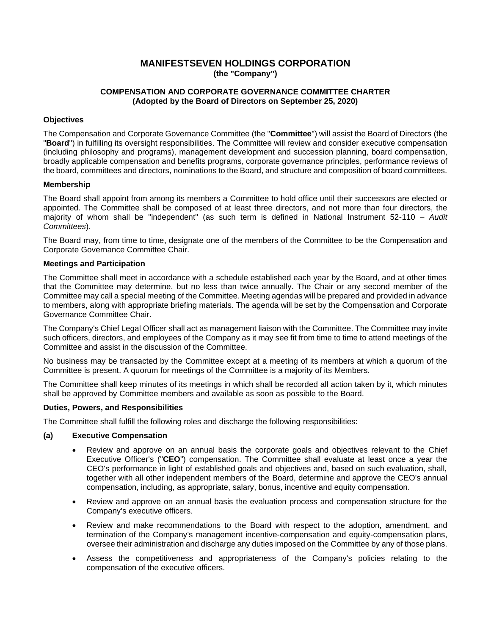# **MANIFESTSEVEN HOLDINGS CORPORATION (the "Company")**

### **COMPENSATION AND CORPORATE GOVERNANCE COMMITTEE CHARTER (Adopted by the Board of Directors on September 25, 2020)**

### **Objectives**

The Compensation and Corporate Governance Committee (the "**Committee**") will assist the Board of Directors (the "**Board**") in fulfilling its oversight responsibilities. The Committee will review and consider executive compensation (including philosophy and programs), management development and succession planning, board compensation, broadly applicable compensation and benefits programs, corporate governance principles, performance reviews of the board, committees and directors, nominations to the Board, and structure and composition of board committees.

#### **Membership**

The Board shall appoint from among its members a Committee to hold office until their successors are elected or appointed. The Committee shall be composed of at least three directors, and not more than four directors, the majority of whom shall be "independent" (as such term is defined in National Instrument 52-110 – *Audit Committees*).

The Board may, from time to time, designate one of the members of the Committee to be the Compensation and Corporate Governance Committee Chair.

### **Meetings and Participation**

The Committee shall meet in accordance with a schedule established each year by the Board, and at other times that the Committee may determine, but no less than twice annually. The Chair or any second member of the Committee may call a special meeting of the Committee. Meeting agendas will be prepared and provided in advance to members, along with appropriate briefing materials. The agenda will be set by the Compensation and Corporate Governance Committee Chair.

The Company's Chief Legal Officer shall act as management liaison with the Committee. The Committee may invite such officers, directors, and employees of the Company as it may see fit from time to time to attend meetings of the Committee and assist in the discussion of the Committee.

No business may be transacted by the Committee except at a meeting of its members at which a quorum of the Committee is present. A quorum for meetings of the Committee is a majority of its Members.

The Committee shall keep minutes of its meetings in which shall be recorded all action taken by it, which minutes shall be approved by Committee members and available as soon as possible to the Board.

#### **Duties, Powers, and Responsibilities**

The Committee shall fulfill the following roles and discharge the following responsibilities:

#### **(a) Executive Compensation**

- Review and approve on an annual basis the corporate goals and objectives relevant to the Chief Executive Officer's ("**CEO**") compensation. The Committee shall evaluate at least once a year the CEO's performance in light of established goals and objectives and, based on such evaluation, shall, together with all other independent members of the Board, determine and approve the CEO's annual compensation, including, as appropriate, salary, bonus, incentive and equity compensation.
- Review and approve on an annual basis the evaluation process and compensation structure for the Company's executive officers.
- Review and make recommendations to the Board with respect to the adoption, amendment, and termination of the Company's management incentive-compensation and equity-compensation plans, oversee their administration and discharge any duties imposed on the Committee by any of those plans.
- Assess the competitiveness and appropriateness of the Company's policies relating to the compensation of the executive officers.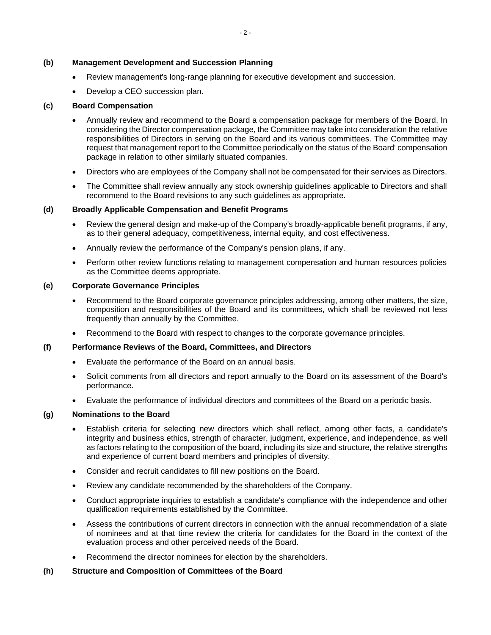#### **(b) Management Development and Succession Planning**

- Review management's long-range planning for executive development and succession.
- Develop a CEO succession plan.

#### **(c) Board Compensation**

- Annually review and recommend to the Board a compensation package for members of the Board. In considering the Director compensation package, the Committee may take into consideration the relative responsibilities of Directors in serving on the Board and its various committees. The Committee may request that management report to the Committee periodically on the status of the Board' compensation package in relation to other similarly situated companies.
- Directors who are employees of the Company shall not be compensated for their services as Directors.
- The Committee shall review annually any stock ownership quidelines applicable to Directors and shall recommend to the Board revisions to any such guidelines as appropriate.

#### **(d) Broadly Applicable Compensation and Benefit Programs**

- Review the general design and make-up of the Company's broadly-applicable benefit programs, if any, as to their general adequacy, competitiveness, internal equity, and cost effectiveness.
- Annually review the performance of the Company's pension plans, if any.
- Perform other review functions relating to management compensation and human resources policies as the Committee deems appropriate.

#### **(e) Corporate Governance Principles**

- Recommend to the Board corporate governance principles addressing, among other matters, the size, composition and responsibilities of the Board and its committees, which shall be reviewed not less frequently than annually by the Committee.
- Recommend to the Board with respect to changes to the corporate governance principles.

#### **(f) Performance Reviews of the Board, Committees, and Directors**

- Evaluate the performance of the Board on an annual basis.
- Solicit comments from all directors and report annually to the Board on its assessment of the Board's performance.
- Evaluate the performance of individual directors and committees of the Board on a periodic basis.

## **(g) Nominations to the Board**

- Establish criteria for selecting new directors which shall reflect, among other facts, a candidate's integrity and business ethics, strength of character, judgment, experience, and independence, as well as factors relating to the composition of the board, including its size and structure, the relative strengths and experience of current board members and principles of diversity.
- Consider and recruit candidates to fill new positions on the Board.
- Review any candidate recommended by the shareholders of the Company.
- Conduct appropriate inquiries to establish a candidate's compliance with the independence and other qualification requirements established by the Committee.
- Assess the contributions of current directors in connection with the annual recommendation of a slate of nominees and at that time review the criteria for candidates for the Board in the context of the evaluation process and other perceived needs of the Board.
- Recommend the director nominees for election by the shareholders.

#### **(h) Structure and Composition of Committees of the Board**